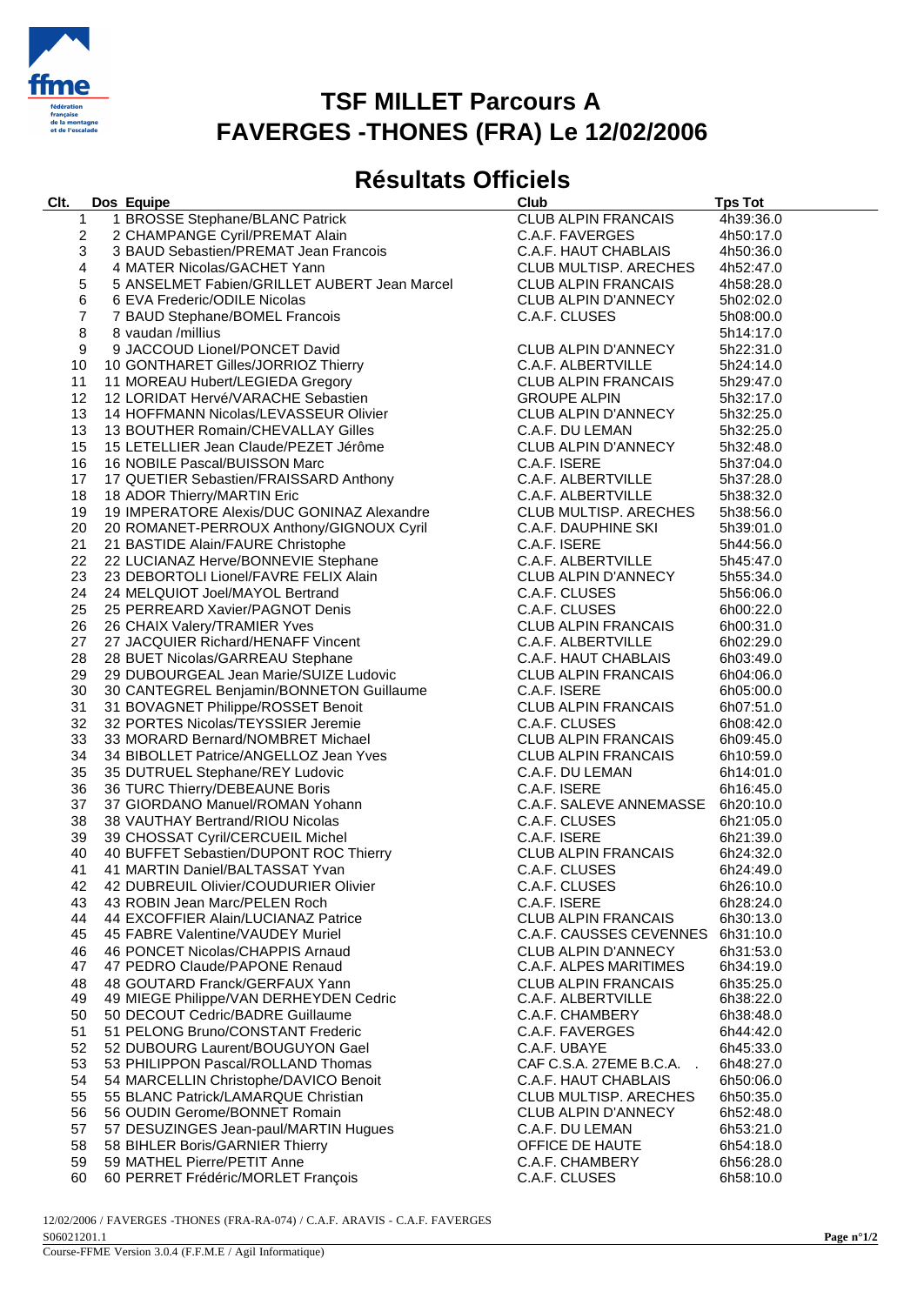

### **TSF MILLET Parcours A FAVERGES -THONES (FRA) Le 12/02/2006**

#### **Résultats Officiels**

| 1 BROSSE Stephane/BLANC Patrick<br><b>CLUB ALPIN FRANCAIS</b><br>4h39:36.0<br>1<br>2 CHAMPANGE Cyril/PREMAT Alain<br>2<br>C.A.F. FAVERGES<br>4h50:17.0<br>3 BAUD Sebastien/PREMAT Jean Francois<br>3<br>C.A.F. HAUT CHABLAIS<br>4h50:36.0<br>4<br>4 MATER Nicolas/GACHET Yann<br>CLUB MULTISP. ARECHES<br>4h52:47.0<br>5 ANSELMET Fabien/GRILLET AUBERT Jean Marcel<br>5<br><b>CLUB ALPIN FRANCAIS</b><br>4h58:28.0<br>6<br>6 EVA Frederic/ODILE Nicolas<br>CLUB ALPIN D'ANNECY<br>5h02:02.0<br>$\overline{7}$<br>7 BAUD Stephane/BOMEL Francois<br>C.A.F. CLUSES<br>5h08:00.0<br>8<br>8 vaudan/millius<br>5h14:17.0<br>9<br>9 JACCOUD Lionel/PONCET David<br><b>CLUB ALPIN D'ANNECY</b><br>5h22:31.0<br>9 JACCOUD Lionel/PONCET David<br>10 GONTHARET Gilles/JORRIOZ Thierry<br>11 MOREAU Hubert/LEGIEDA Gregory<br>10<br>C.A.F. ALBERTVILLE<br>5h24:14.0<br>11 MOREAU Hubert/LEGIEDA Gregory<br><b>CLUB ALPIN FRANCAIS</b><br>11<br>5h29:47.0<br>12<br>12 LORIDAT Hervé/VARACHE Sebastien<br><b>GROUPE ALPIN</b><br>5h32:17.0<br>12 LORIDAT חפו על מהורח עם כל השירות 14 HOFFMANN Nicolas/LEVASSEUR Olivier<br>14 HOFFMANN Nicolas/LEVASSEUR Olivier<br>13<br>CLUB ALPIN D'ANNECY<br>5h32:25.0<br>13<br>13 BOUTHER Romain/CHEVALLAY Gilles<br>C.A.F. DU LEMAN<br>5h32:25.0<br>15<br>15 LETELLIER Jean Claude/PEZET Jérôme<br>CLUB ALPIN D'ANNECY<br>5h32:48.0<br>16<br>16 NOBILE Pascal/BUISSON Marc<br>C.A.F. ISERE<br>5h37:04.0<br>16 NOBILE Pascal/BUISSON Marc<br>17 QUETIER Sebastien/FRAISSARD Anthony<br>18 ADOR Thierry/MARTIN Eric<br>19 IMPERATORE Alexis/DUC GONINAZ Alexandre<br>17<br>C.A.F. ALBERTVILLE<br>5h37:28.0<br>18<br>C.A.F. ALBERTVILLE<br>5h38:32.0<br>19<br><b>CLUB MULTISP. ARECHES</b><br>5h38:56.0<br>20 ROMANET-PERROUX Anthony/GIGNOUX Cyril<br>21 BASTIDE Alain/FAURE Christophe<br>22 LUCIANAZ Herve/BONNEVIE Stephane<br>23 DEBORTOLI Lionel/FAVRE FELIX Alain<br>24 MELQUIOT Joel/MAYOL Bertrand<br>20<br>C.A.F. DAUPHINE SKI<br>5h39:01.0<br>21<br>C.A.F. ISERE<br>5h44:56.0<br>22<br>C.A.F. ALBERTVILLE<br>5h45:47.0<br>23<br>CLUB ALPIN D'ANNECY<br>5h55:34.0<br>24<br>C.A.F. CLUSES<br>5h56:06.0<br>25<br>25 PERREARD Xavier/PAGNOT Denis<br>C.A.F. CLUSES<br>6h00:22.0<br>26<br>26 CHAIX Valery/TRAMIER Yves<br><b>CLUB ALPIN FRANCAIS</b><br>6h00:31.0<br>27<br>27 JACQUIER Richard/HENAFF Vincent<br>C.A.F. ALBERTVILLE<br>6h02:29.0<br>28 BUET Nicolas/GARREAU Stephane<br>29 DUBOURGEAL Jean Marie/SUIZE Ludovic<br>30 CANTEGREL Benjamin/BONNETON Guillaume<br>31 BOVAGNET Philippe/ROSSET Benoit<br>32 PORTES Nicolas/TEYSSIER Jeremie<br>33 MORARD Bernard/NOMPPET Michael<br>28<br>C.A.F. HAUT CHABLAIS<br>6h03:49.0<br>29<br><b>CLUB ALPIN FRANCAIS</b><br>6h04:06.0<br>30<br>C.A.F. ISERE<br>6h05:00.0<br>31<br><b>CLUB ALPIN FRANCAIS</b><br>6h07:51.0<br>32<br>C.A.F. CLUSES<br>6h08:42.0<br>33<br><b>CLUB ALPIN FRANCAIS</b><br>6h09:45.0<br>33 MORARD Bernard/NOMBRET Michael<br>34 BIBOLLET Patrice/ANGELLOZ Jean Yves<br>35 DUTRUEL Stephane/REY Ludovic<br>36 TURC Thierry/DEBEAUNE Boris<br>37 GIORDANO Manuel/ROMAN Yohann<br>38 VAUTHAY Bertrand/RIOU Nicolas<br>39 CHOSSAT Cyril/CERC<br>34<br><b>CLUB ALPIN FRANCAIS</b><br>6h10:59.0<br>35<br>C.A.F. DU LEMAN<br>6h14:01.0<br>36<br>C.A.F. ISERE<br>6h16:45.0<br>37<br>C.A.F. SALEVE ANNEMASSE 6h20:10.0<br>38<br>C.A.F. CLUSES<br>6h21:05.0<br>39<br>C.A.F. ISERE<br>6h21:39.0<br>40<br><b>CLUB ALPIN FRANCAIS</b><br>6h24:32.0<br>41<br>41 MARTIN Daniel/BALTASSAT Yvan<br>C.A.F. CLUSES<br>6h24:49.0<br>42 42 DUBREUIL Olivier/COUDURIER Olivier<br>C.A.F. CLUSES<br>6h26:10.0<br>43 ROBIN Jean Marc/PELEN Roch<br>C.A.F. ISERE<br>6h28:24.0<br>43<br>44<br>44 EXCOFFIER Alain/LUCIANAZ Patrice<br><b>CLUB ALPIN FRANCAIS</b><br>6h30:13.0<br>45<br>45 FABRE Valentine/VAUDEY Muriel<br>C.A.F. CAUSSES CEVENNES<br>6h31:10.0<br>46 PONCET Nicolas/CHAPPIS Arnaud<br>CLUB ALPIN D'ANNECY<br>46<br>6h31:53.0<br>47 PEDRO Claude/PAPONE Renaud<br>C.A.F. ALPES MARITIMES<br>47<br>6h34:19.0<br>48 GOUTARD Franck/GERFAUX Yann<br><b>CLUB ALPIN FRANCAIS</b><br>6h35:25.0<br>48<br>49 MIEGE Philippe/VAN DERHEYDEN Cedric<br>C.A.F. ALBERTVILLE<br>49<br>6h38:22.0<br>50 DECOUT Cedric/BADRE Guillaume<br>C.A.F. CHAMBERY<br>50<br>6h38:48.0<br>51<br>51 PELONG Bruno/CONSTANT Frederic<br>C.A.F. FAVERGES<br>6h44:42.0<br>52 DUBOURG Laurent/BOUGUYON Gael<br>52<br>C.A.F. UBAYE<br>6h45:33.0<br>CAF C.S.A. 27EME B.C.A.<br>53<br>53 PHILIPPON Pascal/ROLLAND Thomas<br>6h48:27.0<br>54 MARCELLIN Christophe/DAVICO Benoit<br>54<br>C.A.F. HAUT CHABLAIS<br>6h50:06.0<br>55 BLANC Patrick/LAMARQUE Christian<br><b>CLUB MULTISP. ARECHES</b><br>55<br>6h50:35.0<br>56 OUDIN Gerome/BONNET Romain<br><b>CLUB ALPIN D'ANNECY</b><br>56<br>6h52:48.0<br>57 DESUZINGES Jean-paul/MARTIN Hugues<br>57<br>C.A.F. DU LEMAN<br>6h53:21.0<br>58<br>58 BIHLER Boris/GARNIER Thierry<br>OFFICE DE HAUTE<br>6h54:18.0<br>59 MATHEL Pierre/PETIT Anne<br>59<br>C.A.F. CHAMBERY<br>6h56:28.0<br>60 PERRET Frédéric/MORLET François<br>C.A.F. CLUSES<br>6h58:10.0<br>60 | Clt. | Dos Equipe | Club | <b>Tps Tot</b> |
|--------------------------------------------------------------------------------------------------------------------------------------------------------------------------------------------------------------------------------------------------------------------------------------------------------------------------------------------------------------------------------------------------------------------------------------------------------------------------------------------------------------------------------------------------------------------------------------------------------------------------------------------------------------------------------------------------------------------------------------------------------------------------------------------------------------------------------------------------------------------------------------------------------------------------------------------------------------------------------------------------------------------------------------------------------------------------------------------------------------------------------------------------------------------------------------------------------------------------------------------------------------------------------------------------------------------------------------------------------------------------------------------------------------------------------------------------------------------------------------------------------------------------------------------------------------------------------------------------------------------------------------------------------------------------------------------------------------------------------------------------------------------------------------------------------------------------------------------------------------------------------------------------------------------------------------------------------------------------------------------------------------------------------------------------------------------------------------------------------------------------------------------------------------------------------------------------------------------------------------------------------------------------------------------------------------------------------------------------------------------------------------------------------------------------------------------------------------------------------------------------------------------------------------------------------------------------------------------------------------------------------------------------------------------------------------------------------------------------------------------------------------------------------------------------------------------------------------------------------------------------------------------------------------------------------------------------------------------------------------------------------------------------------------------------------------------------------------------------------------------------------------------------------------------------------------------------------------------------------------------------------------------------------------------------------------------------------------------------------------------------------------------------------------------------------------------------------------------------------------------------------------------------------------------------------------------------------------------------------------------------------------------------------------------------------------------------------------------------------------------------------------------------------------------------------------------------------------------------------------------------------------------------------------------------------------------------------------------------------------------------------------------------------------------------------------------------------------------------------------------------------------------------------------------------------------------------------------------------------------------------------------------------------------------------------------------------------------------------------------------------------------------------------------------------------------------------------------------------------------------------------------------------------------------------------------------------------------------------------------------------------------------------------------------------------------------------------------------------------------------------------------------------------------------------------------------------------------------------------------------------------------------------------------------------------------------------------------------------------------------------------------------------------------------------------------------------|------|------------|------|----------------|
|                                                                                                                                                                                                                                                                                                                                                                                                                                                                                                                                                                                                                                                                                                                                                                                                                                                                                                                                                                                                                                                                                                                                                                                                                                                                                                                                                                                                                                                                                                                                                                                                                                                                                                                                                                                                                                                                                                                                                                                                                                                                                                                                                                                                                                                                                                                                                                                                                                                                                                                                                                                                                                                                                                                                                                                                                                                                                                                                                                                                                                                                                                                                                                                                                                                                                                                                                                                                                                                                                                                                                                                                                                                                                                                                                                                                                                                                                                                                                                                                                                                                                                                                                                                                                                                                                                                                                                                                                                                                                                                                                                                                                                                                                                                                                                                                                                                                                                                                                                                                                                                                          |      |            |      |                |
|                                                                                                                                                                                                                                                                                                                                                                                                                                                                                                                                                                                                                                                                                                                                                                                                                                                                                                                                                                                                                                                                                                                                                                                                                                                                                                                                                                                                                                                                                                                                                                                                                                                                                                                                                                                                                                                                                                                                                                                                                                                                                                                                                                                                                                                                                                                                                                                                                                                                                                                                                                                                                                                                                                                                                                                                                                                                                                                                                                                                                                                                                                                                                                                                                                                                                                                                                                                                                                                                                                                                                                                                                                                                                                                                                                                                                                                                                                                                                                                                                                                                                                                                                                                                                                                                                                                                                                                                                                                                                                                                                                                                                                                                                                                                                                                                                                                                                                                                                                                                                                                                          |      |            |      |                |
|                                                                                                                                                                                                                                                                                                                                                                                                                                                                                                                                                                                                                                                                                                                                                                                                                                                                                                                                                                                                                                                                                                                                                                                                                                                                                                                                                                                                                                                                                                                                                                                                                                                                                                                                                                                                                                                                                                                                                                                                                                                                                                                                                                                                                                                                                                                                                                                                                                                                                                                                                                                                                                                                                                                                                                                                                                                                                                                                                                                                                                                                                                                                                                                                                                                                                                                                                                                                                                                                                                                                                                                                                                                                                                                                                                                                                                                                                                                                                                                                                                                                                                                                                                                                                                                                                                                                                                                                                                                                                                                                                                                                                                                                                                                                                                                                                                                                                                                                                                                                                                                                          |      |            |      |                |
|                                                                                                                                                                                                                                                                                                                                                                                                                                                                                                                                                                                                                                                                                                                                                                                                                                                                                                                                                                                                                                                                                                                                                                                                                                                                                                                                                                                                                                                                                                                                                                                                                                                                                                                                                                                                                                                                                                                                                                                                                                                                                                                                                                                                                                                                                                                                                                                                                                                                                                                                                                                                                                                                                                                                                                                                                                                                                                                                                                                                                                                                                                                                                                                                                                                                                                                                                                                                                                                                                                                                                                                                                                                                                                                                                                                                                                                                                                                                                                                                                                                                                                                                                                                                                                                                                                                                                                                                                                                                                                                                                                                                                                                                                                                                                                                                                                                                                                                                                                                                                                                                          |      |            |      |                |
|                                                                                                                                                                                                                                                                                                                                                                                                                                                                                                                                                                                                                                                                                                                                                                                                                                                                                                                                                                                                                                                                                                                                                                                                                                                                                                                                                                                                                                                                                                                                                                                                                                                                                                                                                                                                                                                                                                                                                                                                                                                                                                                                                                                                                                                                                                                                                                                                                                                                                                                                                                                                                                                                                                                                                                                                                                                                                                                                                                                                                                                                                                                                                                                                                                                                                                                                                                                                                                                                                                                                                                                                                                                                                                                                                                                                                                                                                                                                                                                                                                                                                                                                                                                                                                                                                                                                                                                                                                                                                                                                                                                                                                                                                                                                                                                                                                                                                                                                                                                                                                                                          |      |            |      |                |
|                                                                                                                                                                                                                                                                                                                                                                                                                                                                                                                                                                                                                                                                                                                                                                                                                                                                                                                                                                                                                                                                                                                                                                                                                                                                                                                                                                                                                                                                                                                                                                                                                                                                                                                                                                                                                                                                                                                                                                                                                                                                                                                                                                                                                                                                                                                                                                                                                                                                                                                                                                                                                                                                                                                                                                                                                                                                                                                                                                                                                                                                                                                                                                                                                                                                                                                                                                                                                                                                                                                                                                                                                                                                                                                                                                                                                                                                                                                                                                                                                                                                                                                                                                                                                                                                                                                                                                                                                                                                                                                                                                                                                                                                                                                                                                                                                                                                                                                                                                                                                                                                          |      |            |      |                |
|                                                                                                                                                                                                                                                                                                                                                                                                                                                                                                                                                                                                                                                                                                                                                                                                                                                                                                                                                                                                                                                                                                                                                                                                                                                                                                                                                                                                                                                                                                                                                                                                                                                                                                                                                                                                                                                                                                                                                                                                                                                                                                                                                                                                                                                                                                                                                                                                                                                                                                                                                                                                                                                                                                                                                                                                                                                                                                                                                                                                                                                                                                                                                                                                                                                                                                                                                                                                                                                                                                                                                                                                                                                                                                                                                                                                                                                                                                                                                                                                                                                                                                                                                                                                                                                                                                                                                                                                                                                                                                                                                                                                                                                                                                                                                                                                                                                                                                                                                                                                                                                                          |      |            |      |                |
|                                                                                                                                                                                                                                                                                                                                                                                                                                                                                                                                                                                                                                                                                                                                                                                                                                                                                                                                                                                                                                                                                                                                                                                                                                                                                                                                                                                                                                                                                                                                                                                                                                                                                                                                                                                                                                                                                                                                                                                                                                                                                                                                                                                                                                                                                                                                                                                                                                                                                                                                                                                                                                                                                                                                                                                                                                                                                                                                                                                                                                                                                                                                                                                                                                                                                                                                                                                                                                                                                                                                                                                                                                                                                                                                                                                                                                                                                                                                                                                                                                                                                                                                                                                                                                                                                                                                                                                                                                                                                                                                                                                                                                                                                                                                                                                                                                                                                                                                                                                                                                                                          |      |            |      |                |
|                                                                                                                                                                                                                                                                                                                                                                                                                                                                                                                                                                                                                                                                                                                                                                                                                                                                                                                                                                                                                                                                                                                                                                                                                                                                                                                                                                                                                                                                                                                                                                                                                                                                                                                                                                                                                                                                                                                                                                                                                                                                                                                                                                                                                                                                                                                                                                                                                                                                                                                                                                                                                                                                                                                                                                                                                                                                                                                                                                                                                                                                                                                                                                                                                                                                                                                                                                                                                                                                                                                                                                                                                                                                                                                                                                                                                                                                                                                                                                                                                                                                                                                                                                                                                                                                                                                                                                                                                                                                                                                                                                                                                                                                                                                                                                                                                                                                                                                                                                                                                                                                          |      |            |      |                |
|                                                                                                                                                                                                                                                                                                                                                                                                                                                                                                                                                                                                                                                                                                                                                                                                                                                                                                                                                                                                                                                                                                                                                                                                                                                                                                                                                                                                                                                                                                                                                                                                                                                                                                                                                                                                                                                                                                                                                                                                                                                                                                                                                                                                                                                                                                                                                                                                                                                                                                                                                                                                                                                                                                                                                                                                                                                                                                                                                                                                                                                                                                                                                                                                                                                                                                                                                                                                                                                                                                                                                                                                                                                                                                                                                                                                                                                                                                                                                                                                                                                                                                                                                                                                                                                                                                                                                                                                                                                                                                                                                                                                                                                                                                                                                                                                                                                                                                                                                                                                                                                                          |      |            |      |                |
|                                                                                                                                                                                                                                                                                                                                                                                                                                                                                                                                                                                                                                                                                                                                                                                                                                                                                                                                                                                                                                                                                                                                                                                                                                                                                                                                                                                                                                                                                                                                                                                                                                                                                                                                                                                                                                                                                                                                                                                                                                                                                                                                                                                                                                                                                                                                                                                                                                                                                                                                                                                                                                                                                                                                                                                                                                                                                                                                                                                                                                                                                                                                                                                                                                                                                                                                                                                                                                                                                                                                                                                                                                                                                                                                                                                                                                                                                                                                                                                                                                                                                                                                                                                                                                                                                                                                                                                                                                                                                                                                                                                                                                                                                                                                                                                                                                                                                                                                                                                                                                                                          |      |            |      |                |
|                                                                                                                                                                                                                                                                                                                                                                                                                                                                                                                                                                                                                                                                                                                                                                                                                                                                                                                                                                                                                                                                                                                                                                                                                                                                                                                                                                                                                                                                                                                                                                                                                                                                                                                                                                                                                                                                                                                                                                                                                                                                                                                                                                                                                                                                                                                                                                                                                                                                                                                                                                                                                                                                                                                                                                                                                                                                                                                                                                                                                                                                                                                                                                                                                                                                                                                                                                                                                                                                                                                                                                                                                                                                                                                                                                                                                                                                                                                                                                                                                                                                                                                                                                                                                                                                                                                                                                                                                                                                                                                                                                                                                                                                                                                                                                                                                                                                                                                                                                                                                                                                          |      |            |      |                |
|                                                                                                                                                                                                                                                                                                                                                                                                                                                                                                                                                                                                                                                                                                                                                                                                                                                                                                                                                                                                                                                                                                                                                                                                                                                                                                                                                                                                                                                                                                                                                                                                                                                                                                                                                                                                                                                                                                                                                                                                                                                                                                                                                                                                                                                                                                                                                                                                                                                                                                                                                                                                                                                                                                                                                                                                                                                                                                                                                                                                                                                                                                                                                                                                                                                                                                                                                                                                                                                                                                                                                                                                                                                                                                                                                                                                                                                                                                                                                                                                                                                                                                                                                                                                                                                                                                                                                                                                                                                                                                                                                                                                                                                                                                                                                                                                                                                                                                                                                                                                                                                                          |      |            |      |                |
|                                                                                                                                                                                                                                                                                                                                                                                                                                                                                                                                                                                                                                                                                                                                                                                                                                                                                                                                                                                                                                                                                                                                                                                                                                                                                                                                                                                                                                                                                                                                                                                                                                                                                                                                                                                                                                                                                                                                                                                                                                                                                                                                                                                                                                                                                                                                                                                                                                                                                                                                                                                                                                                                                                                                                                                                                                                                                                                                                                                                                                                                                                                                                                                                                                                                                                                                                                                                                                                                                                                                                                                                                                                                                                                                                                                                                                                                                                                                                                                                                                                                                                                                                                                                                                                                                                                                                                                                                                                                                                                                                                                                                                                                                                                                                                                                                                                                                                                                                                                                                                                                          |      |            |      |                |
|                                                                                                                                                                                                                                                                                                                                                                                                                                                                                                                                                                                                                                                                                                                                                                                                                                                                                                                                                                                                                                                                                                                                                                                                                                                                                                                                                                                                                                                                                                                                                                                                                                                                                                                                                                                                                                                                                                                                                                                                                                                                                                                                                                                                                                                                                                                                                                                                                                                                                                                                                                                                                                                                                                                                                                                                                                                                                                                                                                                                                                                                                                                                                                                                                                                                                                                                                                                                                                                                                                                                                                                                                                                                                                                                                                                                                                                                                                                                                                                                                                                                                                                                                                                                                                                                                                                                                                                                                                                                                                                                                                                                                                                                                                                                                                                                                                                                                                                                                                                                                                                                          |      |            |      |                |
|                                                                                                                                                                                                                                                                                                                                                                                                                                                                                                                                                                                                                                                                                                                                                                                                                                                                                                                                                                                                                                                                                                                                                                                                                                                                                                                                                                                                                                                                                                                                                                                                                                                                                                                                                                                                                                                                                                                                                                                                                                                                                                                                                                                                                                                                                                                                                                                                                                                                                                                                                                                                                                                                                                                                                                                                                                                                                                                                                                                                                                                                                                                                                                                                                                                                                                                                                                                                                                                                                                                                                                                                                                                                                                                                                                                                                                                                                                                                                                                                                                                                                                                                                                                                                                                                                                                                                                                                                                                                                                                                                                                                                                                                                                                                                                                                                                                                                                                                                                                                                                                                          |      |            |      |                |
|                                                                                                                                                                                                                                                                                                                                                                                                                                                                                                                                                                                                                                                                                                                                                                                                                                                                                                                                                                                                                                                                                                                                                                                                                                                                                                                                                                                                                                                                                                                                                                                                                                                                                                                                                                                                                                                                                                                                                                                                                                                                                                                                                                                                                                                                                                                                                                                                                                                                                                                                                                                                                                                                                                                                                                                                                                                                                                                                                                                                                                                                                                                                                                                                                                                                                                                                                                                                                                                                                                                                                                                                                                                                                                                                                                                                                                                                                                                                                                                                                                                                                                                                                                                                                                                                                                                                                                                                                                                                                                                                                                                                                                                                                                                                                                                                                                                                                                                                                                                                                                                                          |      |            |      |                |
|                                                                                                                                                                                                                                                                                                                                                                                                                                                                                                                                                                                                                                                                                                                                                                                                                                                                                                                                                                                                                                                                                                                                                                                                                                                                                                                                                                                                                                                                                                                                                                                                                                                                                                                                                                                                                                                                                                                                                                                                                                                                                                                                                                                                                                                                                                                                                                                                                                                                                                                                                                                                                                                                                                                                                                                                                                                                                                                                                                                                                                                                                                                                                                                                                                                                                                                                                                                                                                                                                                                                                                                                                                                                                                                                                                                                                                                                                                                                                                                                                                                                                                                                                                                                                                                                                                                                                                                                                                                                                                                                                                                                                                                                                                                                                                                                                                                                                                                                                                                                                                                                          |      |            |      |                |
|                                                                                                                                                                                                                                                                                                                                                                                                                                                                                                                                                                                                                                                                                                                                                                                                                                                                                                                                                                                                                                                                                                                                                                                                                                                                                                                                                                                                                                                                                                                                                                                                                                                                                                                                                                                                                                                                                                                                                                                                                                                                                                                                                                                                                                                                                                                                                                                                                                                                                                                                                                                                                                                                                                                                                                                                                                                                                                                                                                                                                                                                                                                                                                                                                                                                                                                                                                                                                                                                                                                                                                                                                                                                                                                                                                                                                                                                                                                                                                                                                                                                                                                                                                                                                                                                                                                                                                                                                                                                                                                                                                                                                                                                                                                                                                                                                                                                                                                                                                                                                                                                          |      |            |      |                |
|                                                                                                                                                                                                                                                                                                                                                                                                                                                                                                                                                                                                                                                                                                                                                                                                                                                                                                                                                                                                                                                                                                                                                                                                                                                                                                                                                                                                                                                                                                                                                                                                                                                                                                                                                                                                                                                                                                                                                                                                                                                                                                                                                                                                                                                                                                                                                                                                                                                                                                                                                                                                                                                                                                                                                                                                                                                                                                                                                                                                                                                                                                                                                                                                                                                                                                                                                                                                                                                                                                                                                                                                                                                                                                                                                                                                                                                                                                                                                                                                                                                                                                                                                                                                                                                                                                                                                                                                                                                                                                                                                                                                                                                                                                                                                                                                                                                                                                                                                                                                                                                                          |      |            |      |                |
|                                                                                                                                                                                                                                                                                                                                                                                                                                                                                                                                                                                                                                                                                                                                                                                                                                                                                                                                                                                                                                                                                                                                                                                                                                                                                                                                                                                                                                                                                                                                                                                                                                                                                                                                                                                                                                                                                                                                                                                                                                                                                                                                                                                                                                                                                                                                                                                                                                                                                                                                                                                                                                                                                                                                                                                                                                                                                                                                                                                                                                                                                                                                                                                                                                                                                                                                                                                                                                                                                                                                                                                                                                                                                                                                                                                                                                                                                                                                                                                                                                                                                                                                                                                                                                                                                                                                                                                                                                                                                                                                                                                                                                                                                                                                                                                                                                                                                                                                                                                                                                                                          |      |            |      |                |
|                                                                                                                                                                                                                                                                                                                                                                                                                                                                                                                                                                                                                                                                                                                                                                                                                                                                                                                                                                                                                                                                                                                                                                                                                                                                                                                                                                                                                                                                                                                                                                                                                                                                                                                                                                                                                                                                                                                                                                                                                                                                                                                                                                                                                                                                                                                                                                                                                                                                                                                                                                                                                                                                                                                                                                                                                                                                                                                                                                                                                                                                                                                                                                                                                                                                                                                                                                                                                                                                                                                                                                                                                                                                                                                                                                                                                                                                                                                                                                                                                                                                                                                                                                                                                                                                                                                                                                                                                                                                                                                                                                                                                                                                                                                                                                                                                                                                                                                                                                                                                                                                          |      |            |      |                |
|                                                                                                                                                                                                                                                                                                                                                                                                                                                                                                                                                                                                                                                                                                                                                                                                                                                                                                                                                                                                                                                                                                                                                                                                                                                                                                                                                                                                                                                                                                                                                                                                                                                                                                                                                                                                                                                                                                                                                                                                                                                                                                                                                                                                                                                                                                                                                                                                                                                                                                                                                                                                                                                                                                                                                                                                                                                                                                                                                                                                                                                                                                                                                                                                                                                                                                                                                                                                                                                                                                                                                                                                                                                                                                                                                                                                                                                                                                                                                                                                                                                                                                                                                                                                                                                                                                                                                                                                                                                                                                                                                                                                                                                                                                                                                                                                                                                                                                                                                                                                                                                                          |      |            |      |                |
|                                                                                                                                                                                                                                                                                                                                                                                                                                                                                                                                                                                                                                                                                                                                                                                                                                                                                                                                                                                                                                                                                                                                                                                                                                                                                                                                                                                                                                                                                                                                                                                                                                                                                                                                                                                                                                                                                                                                                                                                                                                                                                                                                                                                                                                                                                                                                                                                                                                                                                                                                                                                                                                                                                                                                                                                                                                                                                                                                                                                                                                                                                                                                                                                                                                                                                                                                                                                                                                                                                                                                                                                                                                                                                                                                                                                                                                                                                                                                                                                                                                                                                                                                                                                                                                                                                                                                                                                                                                                                                                                                                                                                                                                                                                                                                                                                                                                                                                                                                                                                                                                          |      |            |      |                |
|                                                                                                                                                                                                                                                                                                                                                                                                                                                                                                                                                                                                                                                                                                                                                                                                                                                                                                                                                                                                                                                                                                                                                                                                                                                                                                                                                                                                                                                                                                                                                                                                                                                                                                                                                                                                                                                                                                                                                                                                                                                                                                                                                                                                                                                                                                                                                                                                                                                                                                                                                                                                                                                                                                                                                                                                                                                                                                                                                                                                                                                                                                                                                                                                                                                                                                                                                                                                                                                                                                                                                                                                                                                                                                                                                                                                                                                                                                                                                                                                                                                                                                                                                                                                                                                                                                                                                                                                                                                                                                                                                                                                                                                                                                                                                                                                                                                                                                                                                                                                                                                                          |      |            |      |                |
|                                                                                                                                                                                                                                                                                                                                                                                                                                                                                                                                                                                                                                                                                                                                                                                                                                                                                                                                                                                                                                                                                                                                                                                                                                                                                                                                                                                                                                                                                                                                                                                                                                                                                                                                                                                                                                                                                                                                                                                                                                                                                                                                                                                                                                                                                                                                                                                                                                                                                                                                                                                                                                                                                                                                                                                                                                                                                                                                                                                                                                                                                                                                                                                                                                                                                                                                                                                                                                                                                                                                                                                                                                                                                                                                                                                                                                                                                                                                                                                                                                                                                                                                                                                                                                                                                                                                                                                                                                                                                                                                                                                                                                                                                                                                                                                                                                                                                                                                                                                                                                                                          |      |            |      |                |
|                                                                                                                                                                                                                                                                                                                                                                                                                                                                                                                                                                                                                                                                                                                                                                                                                                                                                                                                                                                                                                                                                                                                                                                                                                                                                                                                                                                                                                                                                                                                                                                                                                                                                                                                                                                                                                                                                                                                                                                                                                                                                                                                                                                                                                                                                                                                                                                                                                                                                                                                                                                                                                                                                                                                                                                                                                                                                                                                                                                                                                                                                                                                                                                                                                                                                                                                                                                                                                                                                                                                                                                                                                                                                                                                                                                                                                                                                                                                                                                                                                                                                                                                                                                                                                                                                                                                                                                                                                                                                                                                                                                                                                                                                                                                                                                                                                                                                                                                                                                                                                                                          |      |            |      |                |
|                                                                                                                                                                                                                                                                                                                                                                                                                                                                                                                                                                                                                                                                                                                                                                                                                                                                                                                                                                                                                                                                                                                                                                                                                                                                                                                                                                                                                                                                                                                                                                                                                                                                                                                                                                                                                                                                                                                                                                                                                                                                                                                                                                                                                                                                                                                                                                                                                                                                                                                                                                                                                                                                                                                                                                                                                                                                                                                                                                                                                                                                                                                                                                                                                                                                                                                                                                                                                                                                                                                                                                                                                                                                                                                                                                                                                                                                                                                                                                                                                                                                                                                                                                                                                                                                                                                                                                                                                                                                                                                                                                                                                                                                                                                                                                                                                                                                                                                                                                                                                                                                          |      |            |      |                |
|                                                                                                                                                                                                                                                                                                                                                                                                                                                                                                                                                                                                                                                                                                                                                                                                                                                                                                                                                                                                                                                                                                                                                                                                                                                                                                                                                                                                                                                                                                                                                                                                                                                                                                                                                                                                                                                                                                                                                                                                                                                                                                                                                                                                                                                                                                                                                                                                                                                                                                                                                                                                                                                                                                                                                                                                                                                                                                                                                                                                                                                                                                                                                                                                                                                                                                                                                                                                                                                                                                                                                                                                                                                                                                                                                                                                                                                                                                                                                                                                                                                                                                                                                                                                                                                                                                                                                                                                                                                                                                                                                                                                                                                                                                                                                                                                                                                                                                                                                                                                                                                                          |      |            |      |                |
|                                                                                                                                                                                                                                                                                                                                                                                                                                                                                                                                                                                                                                                                                                                                                                                                                                                                                                                                                                                                                                                                                                                                                                                                                                                                                                                                                                                                                                                                                                                                                                                                                                                                                                                                                                                                                                                                                                                                                                                                                                                                                                                                                                                                                                                                                                                                                                                                                                                                                                                                                                                                                                                                                                                                                                                                                                                                                                                                                                                                                                                                                                                                                                                                                                                                                                                                                                                                                                                                                                                                                                                                                                                                                                                                                                                                                                                                                                                                                                                                                                                                                                                                                                                                                                                                                                                                                                                                                                                                                                                                                                                                                                                                                                                                                                                                                                                                                                                                                                                                                                                                          |      |            |      |                |
|                                                                                                                                                                                                                                                                                                                                                                                                                                                                                                                                                                                                                                                                                                                                                                                                                                                                                                                                                                                                                                                                                                                                                                                                                                                                                                                                                                                                                                                                                                                                                                                                                                                                                                                                                                                                                                                                                                                                                                                                                                                                                                                                                                                                                                                                                                                                                                                                                                                                                                                                                                                                                                                                                                                                                                                                                                                                                                                                                                                                                                                                                                                                                                                                                                                                                                                                                                                                                                                                                                                                                                                                                                                                                                                                                                                                                                                                                                                                                                                                                                                                                                                                                                                                                                                                                                                                                                                                                                                                                                                                                                                                                                                                                                                                                                                                                                                                                                                                                                                                                                                                          |      |            |      |                |
|                                                                                                                                                                                                                                                                                                                                                                                                                                                                                                                                                                                                                                                                                                                                                                                                                                                                                                                                                                                                                                                                                                                                                                                                                                                                                                                                                                                                                                                                                                                                                                                                                                                                                                                                                                                                                                                                                                                                                                                                                                                                                                                                                                                                                                                                                                                                                                                                                                                                                                                                                                                                                                                                                                                                                                                                                                                                                                                                                                                                                                                                                                                                                                                                                                                                                                                                                                                                                                                                                                                                                                                                                                                                                                                                                                                                                                                                                                                                                                                                                                                                                                                                                                                                                                                                                                                                                                                                                                                                                                                                                                                                                                                                                                                                                                                                                                                                                                                                                                                                                                                                          |      |            |      |                |
|                                                                                                                                                                                                                                                                                                                                                                                                                                                                                                                                                                                                                                                                                                                                                                                                                                                                                                                                                                                                                                                                                                                                                                                                                                                                                                                                                                                                                                                                                                                                                                                                                                                                                                                                                                                                                                                                                                                                                                                                                                                                                                                                                                                                                                                                                                                                                                                                                                                                                                                                                                                                                                                                                                                                                                                                                                                                                                                                                                                                                                                                                                                                                                                                                                                                                                                                                                                                                                                                                                                                                                                                                                                                                                                                                                                                                                                                                                                                                                                                                                                                                                                                                                                                                                                                                                                                                                                                                                                                                                                                                                                                                                                                                                                                                                                                                                                                                                                                                                                                                                                                          |      |            |      |                |
|                                                                                                                                                                                                                                                                                                                                                                                                                                                                                                                                                                                                                                                                                                                                                                                                                                                                                                                                                                                                                                                                                                                                                                                                                                                                                                                                                                                                                                                                                                                                                                                                                                                                                                                                                                                                                                                                                                                                                                                                                                                                                                                                                                                                                                                                                                                                                                                                                                                                                                                                                                                                                                                                                                                                                                                                                                                                                                                                                                                                                                                                                                                                                                                                                                                                                                                                                                                                                                                                                                                                                                                                                                                                                                                                                                                                                                                                                                                                                                                                                                                                                                                                                                                                                                                                                                                                                                                                                                                                                                                                                                                                                                                                                                                                                                                                                                                                                                                                                                                                                                                                          |      |            |      |                |
|                                                                                                                                                                                                                                                                                                                                                                                                                                                                                                                                                                                                                                                                                                                                                                                                                                                                                                                                                                                                                                                                                                                                                                                                                                                                                                                                                                                                                                                                                                                                                                                                                                                                                                                                                                                                                                                                                                                                                                                                                                                                                                                                                                                                                                                                                                                                                                                                                                                                                                                                                                                                                                                                                                                                                                                                                                                                                                                                                                                                                                                                                                                                                                                                                                                                                                                                                                                                                                                                                                                                                                                                                                                                                                                                                                                                                                                                                                                                                                                                                                                                                                                                                                                                                                                                                                                                                                                                                                                                                                                                                                                                                                                                                                                                                                                                                                                                                                                                                                                                                                                                          |      |            |      |                |
|                                                                                                                                                                                                                                                                                                                                                                                                                                                                                                                                                                                                                                                                                                                                                                                                                                                                                                                                                                                                                                                                                                                                                                                                                                                                                                                                                                                                                                                                                                                                                                                                                                                                                                                                                                                                                                                                                                                                                                                                                                                                                                                                                                                                                                                                                                                                                                                                                                                                                                                                                                                                                                                                                                                                                                                                                                                                                                                                                                                                                                                                                                                                                                                                                                                                                                                                                                                                                                                                                                                                                                                                                                                                                                                                                                                                                                                                                                                                                                                                                                                                                                                                                                                                                                                                                                                                                                                                                                                                                                                                                                                                                                                                                                                                                                                                                                                                                                                                                                                                                                                                          |      |            |      |                |
|                                                                                                                                                                                                                                                                                                                                                                                                                                                                                                                                                                                                                                                                                                                                                                                                                                                                                                                                                                                                                                                                                                                                                                                                                                                                                                                                                                                                                                                                                                                                                                                                                                                                                                                                                                                                                                                                                                                                                                                                                                                                                                                                                                                                                                                                                                                                                                                                                                                                                                                                                                                                                                                                                                                                                                                                                                                                                                                                                                                                                                                                                                                                                                                                                                                                                                                                                                                                                                                                                                                                                                                                                                                                                                                                                                                                                                                                                                                                                                                                                                                                                                                                                                                                                                                                                                                                                                                                                                                                                                                                                                                                                                                                                                                                                                                                                                                                                                                                                                                                                                                                          |      |            |      |                |
|                                                                                                                                                                                                                                                                                                                                                                                                                                                                                                                                                                                                                                                                                                                                                                                                                                                                                                                                                                                                                                                                                                                                                                                                                                                                                                                                                                                                                                                                                                                                                                                                                                                                                                                                                                                                                                                                                                                                                                                                                                                                                                                                                                                                                                                                                                                                                                                                                                                                                                                                                                                                                                                                                                                                                                                                                                                                                                                                                                                                                                                                                                                                                                                                                                                                                                                                                                                                                                                                                                                                                                                                                                                                                                                                                                                                                                                                                                                                                                                                                                                                                                                                                                                                                                                                                                                                                                                                                                                                                                                                                                                                                                                                                                                                                                                                                                                                                                                                                                                                                                                                          |      |            |      |                |
|                                                                                                                                                                                                                                                                                                                                                                                                                                                                                                                                                                                                                                                                                                                                                                                                                                                                                                                                                                                                                                                                                                                                                                                                                                                                                                                                                                                                                                                                                                                                                                                                                                                                                                                                                                                                                                                                                                                                                                                                                                                                                                                                                                                                                                                                                                                                                                                                                                                                                                                                                                                                                                                                                                                                                                                                                                                                                                                                                                                                                                                                                                                                                                                                                                                                                                                                                                                                                                                                                                                                                                                                                                                                                                                                                                                                                                                                                                                                                                                                                                                                                                                                                                                                                                                                                                                                                                                                                                                                                                                                                                                                                                                                                                                                                                                                                                                                                                                                                                                                                                                                          |      |            |      |                |
|                                                                                                                                                                                                                                                                                                                                                                                                                                                                                                                                                                                                                                                                                                                                                                                                                                                                                                                                                                                                                                                                                                                                                                                                                                                                                                                                                                                                                                                                                                                                                                                                                                                                                                                                                                                                                                                                                                                                                                                                                                                                                                                                                                                                                                                                                                                                                                                                                                                                                                                                                                                                                                                                                                                                                                                                                                                                                                                                                                                                                                                                                                                                                                                                                                                                                                                                                                                                                                                                                                                                                                                                                                                                                                                                                                                                                                                                                                                                                                                                                                                                                                                                                                                                                                                                                                                                                                                                                                                                                                                                                                                                                                                                                                                                                                                                                                                                                                                                                                                                                                                                          |      |            |      |                |
|                                                                                                                                                                                                                                                                                                                                                                                                                                                                                                                                                                                                                                                                                                                                                                                                                                                                                                                                                                                                                                                                                                                                                                                                                                                                                                                                                                                                                                                                                                                                                                                                                                                                                                                                                                                                                                                                                                                                                                                                                                                                                                                                                                                                                                                                                                                                                                                                                                                                                                                                                                                                                                                                                                                                                                                                                                                                                                                                                                                                                                                                                                                                                                                                                                                                                                                                                                                                                                                                                                                                                                                                                                                                                                                                                                                                                                                                                                                                                                                                                                                                                                                                                                                                                                                                                                                                                                                                                                                                                                                                                                                                                                                                                                                                                                                                                                                                                                                                                                                                                                                                          |      |            |      |                |
|                                                                                                                                                                                                                                                                                                                                                                                                                                                                                                                                                                                                                                                                                                                                                                                                                                                                                                                                                                                                                                                                                                                                                                                                                                                                                                                                                                                                                                                                                                                                                                                                                                                                                                                                                                                                                                                                                                                                                                                                                                                                                                                                                                                                                                                                                                                                                                                                                                                                                                                                                                                                                                                                                                                                                                                                                                                                                                                                                                                                                                                                                                                                                                                                                                                                                                                                                                                                                                                                                                                                                                                                                                                                                                                                                                                                                                                                                                                                                                                                                                                                                                                                                                                                                                                                                                                                                                                                                                                                                                                                                                                                                                                                                                                                                                                                                                                                                                                                                                                                                                                                          |      |            |      |                |
|                                                                                                                                                                                                                                                                                                                                                                                                                                                                                                                                                                                                                                                                                                                                                                                                                                                                                                                                                                                                                                                                                                                                                                                                                                                                                                                                                                                                                                                                                                                                                                                                                                                                                                                                                                                                                                                                                                                                                                                                                                                                                                                                                                                                                                                                                                                                                                                                                                                                                                                                                                                                                                                                                                                                                                                                                                                                                                                                                                                                                                                                                                                                                                                                                                                                                                                                                                                                                                                                                                                                                                                                                                                                                                                                                                                                                                                                                                                                                                                                                                                                                                                                                                                                                                                                                                                                                                                                                                                                                                                                                                                                                                                                                                                                                                                                                                                                                                                                                                                                                                                                          |      |            |      |                |
|                                                                                                                                                                                                                                                                                                                                                                                                                                                                                                                                                                                                                                                                                                                                                                                                                                                                                                                                                                                                                                                                                                                                                                                                                                                                                                                                                                                                                                                                                                                                                                                                                                                                                                                                                                                                                                                                                                                                                                                                                                                                                                                                                                                                                                                                                                                                                                                                                                                                                                                                                                                                                                                                                                                                                                                                                                                                                                                                                                                                                                                                                                                                                                                                                                                                                                                                                                                                                                                                                                                                                                                                                                                                                                                                                                                                                                                                                                                                                                                                                                                                                                                                                                                                                                                                                                                                                                                                                                                                                                                                                                                                                                                                                                                                                                                                                                                                                                                                                                                                                                                                          |      |            |      |                |
|                                                                                                                                                                                                                                                                                                                                                                                                                                                                                                                                                                                                                                                                                                                                                                                                                                                                                                                                                                                                                                                                                                                                                                                                                                                                                                                                                                                                                                                                                                                                                                                                                                                                                                                                                                                                                                                                                                                                                                                                                                                                                                                                                                                                                                                                                                                                                                                                                                                                                                                                                                                                                                                                                                                                                                                                                                                                                                                                                                                                                                                                                                                                                                                                                                                                                                                                                                                                                                                                                                                                                                                                                                                                                                                                                                                                                                                                                                                                                                                                                                                                                                                                                                                                                                                                                                                                                                                                                                                                                                                                                                                                                                                                                                                                                                                                                                                                                                                                                                                                                                                                          |      |            |      |                |
|                                                                                                                                                                                                                                                                                                                                                                                                                                                                                                                                                                                                                                                                                                                                                                                                                                                                                                                                                                                                                                                                                                                                                                                                                                                                                                                                                                                                                                                                                                                                                                                                                                                                                                                                                                                                                                                                                                                                                                                                                                                                                                                                                                                                                                                                                                                                                                                                                                                                                                                                                                                                                                                                                                                                                                                                                                                                                                                                                                                                                                                                                                                                                                                                                                                                                                                                                                                                                                                                                                                                                                                                                                                                                                                                                                                                                                                                                                                                                                                                                                                                                                                                                                                                                                                                                                                                                                                                                                                                                                                                                                                                                                                                                                                                                                                                                                                                                                                                                                                                                                                                          |      |            |      |                |
|                                                                                                                                                                                                                                                                                                                                                                                                                                                                                                                                                                                                                                                                                                                                                                                                                                                                                                                                                                                                                                                                                                                                                                                                                                                                                                                                                                                                                                                                                                                                                                                                                                                                                                                                                                                                                                                                                                                                                                                                                                                                                                                                                                                                                                                                                                                                                                                                                                                                                                                                                                                                                                                                                                                                                                                                                                                                                                                                                                                                                                                                                                                                                                                                                                                                                                                                                                                                                                                                                                                                                                                                                                                                                                                                                                                                                                                                                                                                                                                                                                                                                                                                                                                                                                                                                                                                                                                                                                                                                                                                                                                                                                                                                                                                                                                                                                                                                                                                                                                                                                                                          |      |            |      |                |
|                                                                                                                                                                                                                                                                                                                                                                                                                                                                                                                                                                                                                                                                                                                                                                                                                                                                                                                                                                                                                                                                                                                                                                                                                                                                                                                                                                                                                                                                                                                                                                                                                                                                                                                                                                                                                                                                                                                                                                                                                                                                                                                                                                                                                                                                                                                                                                                                                                                                                                                                                                                                                                                                                                                                                                                                                                                                                                                                                                                                                                                                                                                                                                                                                                                                                                                                                                                                                                                                                                                                                                                                                                                                                                                                                                                                                                                                                                                                                                                                                                                                                                                                                                                                                                                                                                                                                                                                                                                                                                                                                                                                                                                                                                                                                                                                                                                                                                                                                                                                                                                                          |      |            |      |                |
|                                                                                                                                                                                                                                                                                                                                                                                                                                                                                                                                                                                                                                                                                                                                                                                                                                                                                                                                                                                                                                                                                                                                                                                                                                                                                                                                                                                                                                                                                                                                                                                                                                                                                                                                                                                                                                                                                                                                                                                                                                                                                                                                                                                                                                                                                                                                                                                                                                                                                                                                                                                                                                                                                                                                                                                                                                                                                                                                                                                                                                                                                                                                                                                                                                                                                                                                                                                                                                                                                                                                                                                                                                                                                                                                                                                                                                                                                                                                                                                                                                                                                                                                                                                                                                                                                                                                                                                                                                                                                                                                                                                                                                                                                                                                                                                                                                                                                                                                                                                                                                                                          |      |            |      |                |
|                                                                                                                                                                                                                                                                                                                                                                                                                                                                                                                                                                                                                                                                                                                                                                                                                                                                                                                                                                                                                                                                                                                                                                                                                                                                                                                                                                                                                                                                                                                                                                                                                                                                                                                                                                                                                                                                                                                                                                                                                                                                                                                                                                                                                                                                                                                                                                                                                                                                                                                                                                                                                                                                                                                                                                                                                                                                                                                                                                                                                                                                                                                                                                                                                                                                                                                                                                                                                                                                                                                                                                                                                                                                                                                                                                                                                                                                                                                                                                                                                                                                                                                                                                                                                                                                                                                                                                                                                                                                                                                                                                                                                                                                                                                                                                                                                                                                                                                                                                                                                                                                          |      |            |      |                |
|                                                                                                                                                                                                                                                                                                                                                                                                                                                                                                                                                                                                                                                                                                                                                                                                                                                                                                                                                                                                                                                                                                                                                                                                                                                                                                                                                                                                                                                                                                                                                                                                                                                                                                                                                                                                                                                                                                                                                                                                                                                                                                                                                                                                                                                                                                                                                                                                                                                                                                                                                                                                                                                                                                                                                                                                                                                                                                                                                                                                                                                                                                                                                                                                                                                                                                                                                                                                                                                                                                                                                                                                                                                                                                                                                                                                                                                                                                                                                                                                                                                                                                                                                                                                                                                                                                                                                                                                                                                                                                                                                                                                                                                                                                                                                                                                                                                                                                                                                                                                                                                                          |      |            |      |                |
|                                                                                                                                                                                                                                                                                                                                                                                                                                                                                                                                                                                                                                                                                                                                                                                                                                                                                                                                                                                                                                                                                                                                                                                                                                                                                                                                                                                                                                                                                                                                                                                                                                                                                                                                                                                                                                                                                                                                                                                                                                                                                                                                                                                                                                                                                                                                                                                                                                                                                                                                                                                                                                                                                                                                                                                                                                                                                                                                                                                                                                                                                                                                                                                                                                                                                                                                                                                                                                                                                                                                                                                                                                                                                                                                                                                                                                                                                                                                                                                                                                                                                                                                                                                                                                                                                                                                                                                                                                                                                                                                                                                                                                                                                                                                                                                                                                                                                                                                                                                                                                                                          |      |            |      |                |
|                                                                                                                                                                                                                                                                                                                                                                                                                                                                                                                                                                                                                                                                                                                                                                                                                                                                                                                                                                                                                                                                                                                                                                                                                                                                                                                                                                                                                                                                                                                                                                                                                                                                                                                                                                                                                                                                                                                                                                                                                                                                                                                                                                                                                                                                                                                                                                                                                                                                                                                                                                                                                                                                                                                                                                                                                                                                                                                                                                                                                                                                                                                                                                                                                                                                                                                                                                                                                                                                                                                                                                                                                                                                                                                                                                                                                                                                                                                                                                                                                                                                                                                                                                                                                                                                                                                                                                                                                                                                                                                                                                                                                                                                                                                                                                                                                                                                                                                                                                                                                                                                          |      |            |      |                |
|                                                                                                                                                                                                                                                                                                                                                                                                                                                                                                                                                                                                                                                                                                                                                                                                                                                                                                                                                                                                                                                                                                                                                                                                                                                                                                                                                                                                                                                                                                                                                                                                                                                                                                                                                                                                                                                                                                                                                                                                                                                                                                                                                                                                                                                                                                                                                                                                                                                                                                                                                                                                                                                                                                                                                                                                                                                                                                                                                                                                                                                                                                                                                                                                                                                                                                                                                                                                                                                                                                                                                                                                                                                                                                                                                                                                                                                                                                                                                                                                                                                                                                                                                                                                                                                                                                                                                                                                                                                                                                                                                                                                                                                                                                                                                                                                                                                                                                                                                                                                                                                                          |      |            |      |                |
|                                                                                                                                                                                                                                                                                                                                                                                                                                                                                                                                                                                                                                                                                                                                                                                                                                                                                                                                                                                                                                                                                                                                                                                                                                                                                                                                                                                                                                                                                                                                                                                                                                                                                                                                                                                                                                                                                                                                                                                                                                                                                                                                                                                                                                                                                                                                                                                                                                                                                                                                                                                                                                                                                                                                                                                                                                                                                                                                                                                                                                                                                                                                                                                                                                                                                                                                                                                                                                                                                                                                                                                                                                                                                                                                                                                                                                                                                                                                                                                                                                                                                                                                                                                                                                                                                                                                                                                                                                                                                                                                                                                                                                                                                                                                                                                                                                                                                                                                                                                                                                                                          |      |            |      |                |
|                                                                                                                                                                                                                                                                                                                                                                                                                                                                                                                                                                                                                                                                                                                                                                                                                                                                                                                                                                                                                                                                                                                                                                                                                                                                                                                                                                                                                                                                                                                                                                                                                                                                                                                                                                                                                                                                                                                                                                                                                                                                                                                                                                                                                                                                                                                                                                                                                                                                                                                                                                                                                                                                                                                                                                                                                                                                                                                                                                                                                                                                                                                                                                                                                                                                                                                                                                                                                                                                                                                                                                                                                                                                                                                                                                                                                                                                                                                                                                                                                                                                                                                                                                                                                                                                                                                                                                                                                                                                                                                                                                                                                                                                                                                                                                                                                                                                                                                                                                                                                                                                          |      |            |      |                |
|                                                                                                                                                                                                                                                                                                                                                                                                                                                                                                                                                                                                                                                                                                                                                                                                                                                                                                                                                                                                                                                                                                                                                                                                                                                                                                                                                                                                                                                                                                                                                                                                                                                                                                                                                                                                                                                                                                                                                                                                                                                                                                                                                                                                                                                                                                                                                                                                                                                                                                                                                                                                                                                                                                                                                                                                                                                                                                                                                                                                                                                                                                                                                                                                                                                                                                                                                                                                                                                                                                                                                                                                                                                                                                                                                                                                                                                                                                                                                                                                                                                                                                                                                                                                                                                                                                                                                                                                                                                                                                                                                                                                                                                                                                                                                                                                                                                                                                                                                                                                                                                                          |      |            |      |                |
|                                                                                                                                                                                                                                                                                                                                                                                                                                                                                                                                                                                                                                                                                                                                                                                                                                                                                                                                                                                                                                                                                                                                                                                                                                                                                                                                                                                                                                                                                                                                                                                                                                                                                                                                                                                                                                                                                                                                                                                                                                                                                                                                                                                                                                                                                                                                                                                                                                                                                                                                                                                                                                                                                                                                                                                                                                                                                                                                                                                                                                                                                                                                                                                                                                                                                                                                                                                                                                                                                                                                                                                                                                                                                                                                                                                                                                                                                                                                                                                                                                                                                                                                                                                                                                                                                                                                                                                                                                                                                                                                                                                                                                                                                                                                                                                                                                                                                                                                                                                                                                                                          |      |            |      |                |
|                                                                                                                                                                                                                                                                                                                                                                                                                                                                                                                                                                                                                                                                                                                                                                                                                                                                                                                                                                                                                                                                                                                                                                                                                                                                                                                                                                                                                                                                                                                                                                                                                                                                                                                                                                                                                                                                                                                                                                                                                                                                                                                                                                                                                                                                                                                                                                                                                                                                                                                                                                                                                                                                                                                                                                                                                                                                                                                                                                                                                                                                                                                                                                                                                                                                                                                                                                                                                                                                                                                                                                                                                                                                                                                                                                                                                                                                                                                                                                                                                                                                                                                                                                                                                                                                                                                                                                                                                                                                                                                                                                                                                                                                                                                                                                                                                                                                                                                                                                                                                                                                          |      |            |      |                |
|                                                                                                                                                                                                                                                                                                                                                                                                                                                                                                                                                                                                                                                                                                                                                                                                                                                                                                                                                                                                                                                                                                                                                                                                                                                                                                                                                                                                                                                                                                                                                                                                                                                                                                                                                                                                                                                                                                                                                                                                                                                                                                                                                                                                                                                                                                                                                                                                                                                                                                                                                                                                                                                                                                                                                                                                                                                                                                                                                                                                                                                                                                                                                                                                                                                                                                                                                                                                                                                                                                                                                                                                                                                                                                                                                                                                                                                                                                                                                                                                                                                                                                                                                                                                                                                                                                                                                                                                                                                                                                                                                                                                                                                                                                                                                                                                                                                                                                                                                                                                                                                                          |      |            |      |                |
|                                                                                                                                                                                                                                                                                                                                                                                                                                                                                                                                                                                                                                                                                                                                                                                                                                                                                                                                                                                                                                                                                                                                                                                                                                                                                                                                                                                                                                                                                                                                                                                                                                                                                                                                                                                                                                                                                                                                                                                                                                                                                                                                                                                                                                                                                                                                                                                                                                                                                                                                                                                                                                                                                                                                                                                                                                                                                                                                                                                                                                                                                                                                                                                                                                                                                                                                                                                                                                                                                                                                                                                                                                                                                                                                                                                                                                                                                                                                                                                                                                                                                                                                                                                                                                                                                                                                                                                                                                                                                                                                                                                                                                                                                                                                                                                                                                                                                                                                                                                                                                                                          |      |            |      |                |
|                                                                                                                                                                                                                                                                                                                                                                                                                                                                                                                                                                                                                                                                                                                                                                                                                                                                                                                                                                                                                                                                                                                                                                                                                                                                                                                                                                                                                                                                                                                                                                                                                                                                                                                                                                                                                                                                                                                                                                                                                                                                                                                                                                                                                                                                                                                                                                                                                                                                                                                                                                                                                                                                                                                                                                                                                                                                                                                                                                                                                                                                                                                                                                                                                                                                                                                                                                                                                                                                                                                                                                                                                                                                                                                                                                                                                                                                                                                                                                                                                                                                                                                                                                                                                                                                                                                                                                                                                                                                                                                                                                                                                                                                                                                                                                                                                                                                                                                                                                                                                                                                          |      |            |      |                |

12/02/2006 / FAVERGES -THONES (FRA-RA-074) / C.A.F. ARAVIS - C.A.F. FAVERGES S06021201.1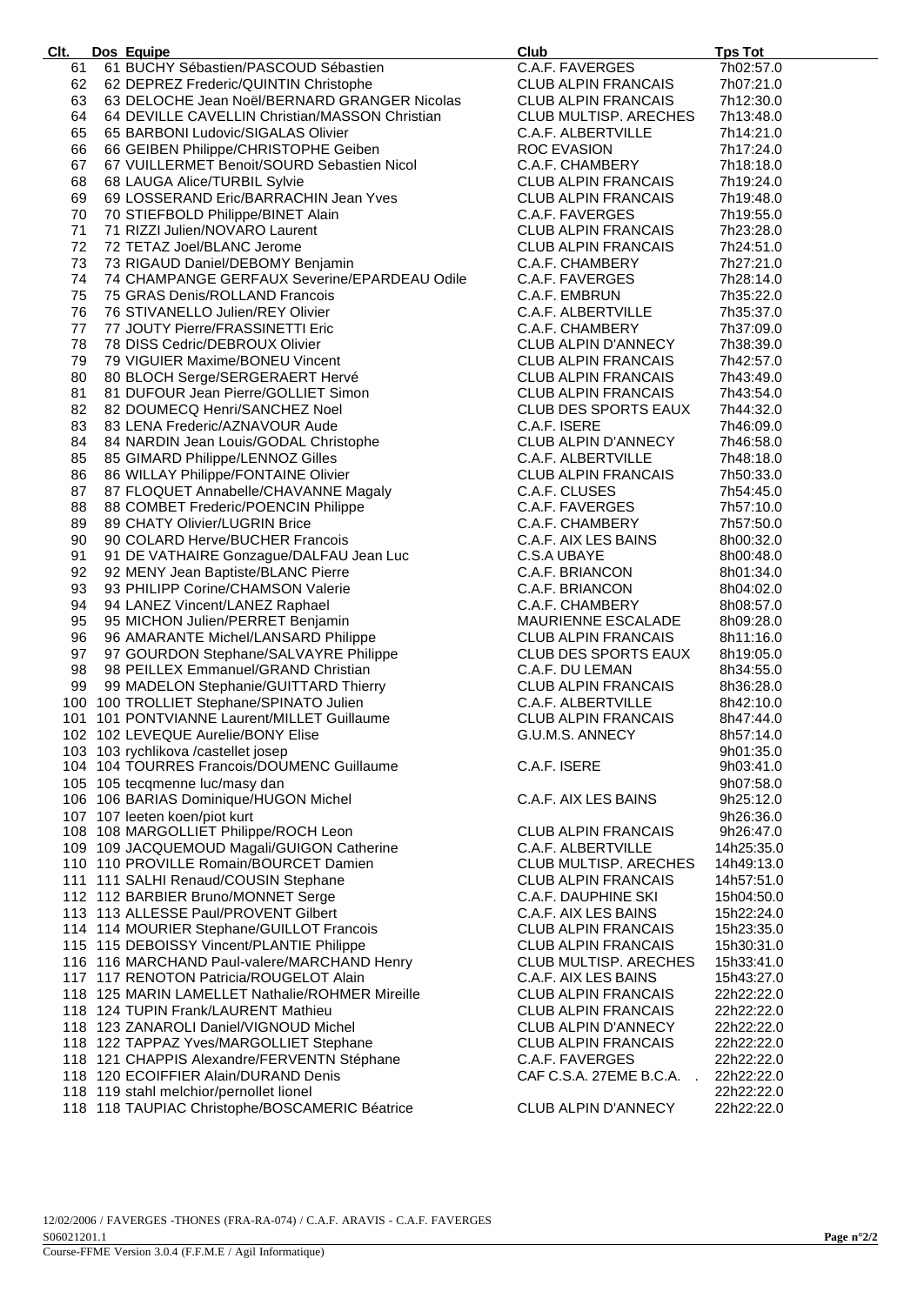| Clt. | Dos Equipe                                                                                                                                                                                      | Club                                    | <b>Tps Tot</b> |
|------|-------------------------------------------------------------------------------------------------------------------------------------------------------------------------------------------------|-----------------------------------------|----------------|
| 61   | 61 BUCHY Sébastien/PASCOUD Sébastien                                                                                                                                                            | C.A.F. FAVERGES                         | 7h02:57.0      |
| 62   | 62 DEPREZ Frederic/QUINTIN Christophe                                                                                                                                                           | <b>CLUB ALPIN FRANCAIS</b>              | 7h07:21.0      |
| 63   | 63 DELOCHE Jean Noël/BERNARD GRANGER Nicolas                                                                                                                                                    | <b>CLUB ALPIN FRANCAIS</b>              | 7h12:30.0      |
|      |                                                                                                                                                                                                 |                                         |                |
| 64   | 64 DEVILLE CAVELLIN Christian/MASSON Christian                                                                                                                                                  | CLUB MULTISP. ARECHES                   | 7h13:48.0      |
| 65   | 65 BARBONI Ludovic/SIGALAS Olivier                                                                                                                                                              | C.A.F. ALBERTVILLE                      | 7h14:21.0      |
| 66   |                                                                                                                                                                                                 | ROC EVASION                             | 7h17:24.0      |
| 67   |                                                                                                                                                                                                 | C.A.F. CHAMBERY                         | 7h18:18.0      |
| 68   |                                                                                                                                                                                                 | <b>CLUB ALPIN FRANCAIS</b>              | 7h19:24.0      |
| 69   | 65 BARBONI Lugovic/SignLng Circo<br>66 GEIBEN Philippe/CHRISTOPHE Geiben<br>67 VUILLERMET Benoit/SOURD Sebastien Nicol<br>68 LAUGA Alice/TURBIL Sylvie<br>69 LOSSERAND Eric/BARRACHIN Jean Yves | <b>CLUB ALPIN FRANCAIS</b>              | 7h19:48.0      |
|      |                                                                                                                                                                                                 |                                         |                |
| 70   | 70 STIEFBOLD Philippe/BINET Alain                                                                                                                                                               | C.A.F. FAVERGES                         | 7h19:55.0      |
| 71   | 71 RIZZI Julien/NOVARO Laurent                                                                                                                                                                  | <b>CLUB ALPIN FRANCAIS</b>              | 7h23:28.0      |
| 72   | 72 TETAZ Joel/BLANC Jerome                                                                                                                                                                      | CLUB ALPIN FRANCAIS                     | 7h24:51.0      |
| 73   | 73 RIGAUD Daniel/DEBOMY Benjamin                                                                                                                                                                | C.A.F. CHAMBERY                         | 7h27:21.0      |
| 74   | 74 CHAMPANGE GERFAUX Severine/EPARDEAU Odile                                                                                                                                                    | C.A.F. FAVERGES                         | 7h28:14.0      |
| 75   | 75 GRAS Denis/ROLLAND Francois                                                                                                                                                                  | C.A.F. EMBRUN                           | 7h35:22.0      |
|      |                                                                                                                                                                                                 |                                         |                |
| 76   | 76 STIVANELLO Julien/REY Olivier                                                                                                                                                                | C.A.F. ALBERTVILLE                      | 7h35:37.0      |
| 77   | 77 JOUTY Pierre/FRASSINETTI Eric                                                                                                                                                                | C.A.F. CHAMBERY                         | 7h37:09.0      |
| 78   | 78 DISS Cedric/DEBROUX Olivier                                                                                                                                                                  | CLUB ALPIN D'ANNECY                     | 7h38:39.0      |
| 79   | 79 VIGUIER Maxime/BONEU Vincent                                                                                                                                                                 | <b>CLUB ALPIN FRANCAIS</b>              | 7h42:57.0      |
| 80   | 80 BLOCH Serge/SERGERAERT Hervé<br>81 DUFOUR Jean Pierre/GOLLIET Simon                                                                                                                          | <b>CLUB ALPIN FRANCAIS</b>              | 7h43:49.0      |
| 81   |                                                                                                                                                                                                 | <b>CLUB ALPIN FRANCAIS</b>              | 7h43:54.0      |
|      |                                                                                                                                                                                                 |                                         |                |
| 82   | 82 DOUMECQ Henri/SANCHEZ Noel                                                                                                                                                                   | CLUB DES SPORTS EAUX                    | 7h44:32.0      |
| 83   | 83 LENA Frederic/AZNAVOUR Aude                                                                                                                                                                  | C.A.F. ISERE                            | 7h46:09.0      |
| 84   | 84 NARDIN Jean Louis/GODAL Christophe                                                                                                                                                           | <b>CLUB ALPIN D'ANNECY</b>              | 7h46:58.0      |
| 85   | 85 GIMARD Philippe/LENNOZ Gilles                                                                                                                                                                | C.A.F. ALBERTVILLE                      | 7h48:18.0      |
| 86   | 86 WILLAY Philippe/FONTAINE Olivier                                                                                                                                                             | <b>CLUB ALPIN FRANCAIS</b>              | 7h50:33.0      |
|      |                                                                                                                                                                                                 |                                         |                |
| 87   |                                                                                                                                                                                                 | C.A.F. CLUSES                           | 7h54:45.0      |
| 88   | 86 WILLAY Philippe/FONTAINE Olivier<br>87 FLOQUET Annabelle/CHAVANNE Magaly<br>88 COMBET Frederic/POENCIN Philippe<br>89 CHATY Olivier/LUGRIN Brice                                             | C.A.F. FAVERGES                         | 7h57:10.0      |
| 89   |                                                                                                                                                                                                 | C.A.F. CHAMBERY                         | 7h57:50.0      |
| 90   |                                                                                                                                                                                                 | C.A.F. AIX LES BAINS                    | 8h00:32.0      |
| 91   | 90 COLARD Herve/BUCHER Francois<br>91 DE VATHAIRE Gonzague/DALFAU Jean Luc<br>92 MENY Jean Baptiste/BLANC Pierre                                                                                | C.S.A UBAYE                             | 8h00:48.0      |
| 92   |                                                                                                                                                                                                 | C.A.F. BRIANCON                         | 8h01:34.0      |
|      |                                                                                                                                                                                                 |                                         |                |
| 93   | 93 PHILIPP Corine/CHAMSON Valerie                                                                                                                                                               | C.A.F. BRIANCON                         | 8h04:02.0      |
| 94   | 94 LANEZ Vincent/LANEZ Raphael                                                                                                                                                                  | C.A.F. CHAMBERY                         | 8h08:57.0      |
| 95   | 95 MICHON Julien/PERRET Benjamin                                                                                                                                                                | MAURIENNE ESCALADE                      | 8h09:28.0      |
| 96   | 96 AMARANTE Michel/LANSARD Philippe                                                                                                                                                             | <b>CLUB ALPIN FRANCAIS</b>              | 8h11:16.0      |
| 97   | 97 GOURDON Stephane/SALVAYRE Philippe<br>98 PEILLEX Emmanuel/GRAND Christian<br>98 MADELONIAL - COUTT CREATED                                                                                   | CLUB DES SPORTS EAUX                    | 8h19:05.0      |
| 98   |                                                                                                                                                                                                 | C.A.F. DU LEMAN                         | 8h34:55.0      |
| 99   | 98 PEILLEX Emmanuel/GRAND Christian<br>99 MADELON Stephanie/GUITTARD Thierry<br>100 TROLLIET Stephane/SPINATO Julien                                                                            | <b>CLUB ALPIN FRANCAIS</b>              | 8h36:28.0      |
|      |                                                                                                                                                                                                 |                                         |                |
|      | 100 100 TROLLIET Stephane/SPINATO Julien                                                                                                                                                        | C.A.F. ALBERTVILLE                      | 8h42:10.0      |
|      | 101 101 PONTVIANNE Laurent/MILLET Guillaume<br>102 102 LEVEQUE Aurelie/BONY Elise                                                                                                               | <b>CLUB ALPIN FRANCAIS</b>              | 8h47:44.0      |
|      |                                                                                                                                                                                                 | G.U.M.S. ANNECY                         | 8h57:14.0      |
|      | 103 103 rychlikova /castellet josep                                                                                                                                                             |                                         | 9h01:35.0      |
|      | 104 104 TOURRES Francois/DOUMENC Guillaume                                                                                                                                                      | C.A.F. ISERE                            | 9h03:41.0      |
|      | 105 105 tecqmenne luc/masy dan                                                                                                                                                                  |                                         | 9h07:58.0      |
|      | 106 106 BARIAS Dominique/HUGON Michel                                                                                                                                                           | C.A.F. AIX LES BAINS                    | 9h25:12.0      |
|      |                                                                                                                                                                                                 |                                         |                |
|      | 107 107 leeten koen/piot kurt                                                                                                                                                                   |                                         | 9h26:36.0      |
|      | 108 108 MARGOLLIET Philippe/ROCH Leon                                                                                                                                                           | <b>CLUB ALPIN FRANCAIS</b>              | 9h26:47.0      |
|      | 109 109 JACQUEMOUD Magali/GUIGON Catherine                                                                                                                                                      | C.A.F. ALBERTVILLE                      | 14h25:35.0     |
|      | 110 110 PROVILLE Romain/BOURCET Damien                                                                                                                                                          | CLUB MULTISP. ARECHES                   | 14h49:13.0     |
|      | 111 111 SALHI Renaud/COUSIN Stephane                                                                                                                                                            | CLUB ALPIN FRANCAIS                     | 14h57:51.0     |
|      | 112 112 BARBIER Bruno/MONNET Serge                                                                                                                                                              | C.A.F. DAUPHINE SKI                     | 15h04:50.0     |
|      |                                                                                                                                                                                                 |                                         |                |
|      | 113 113 ALLESSE Paul/PROVENT Gilbert                                                                                                                                                            | C.A.F. AIX LES BAINS                    | 15h22:24.0     |
|      | 114 114 MOURIER Stephane/GUILLOT Francois                                                                                                                                                       | <b>CLUB ALPIN FRANCAIS</b>              | 15h23:35.0     |
|      | 115 115 DEBOISSY Vincent/PLANTIE Philippe                                                                                                                                                       | <b>CLUB ALPIN FRANCAIS</b>              | 15h30:31.0     |
|      | 116 116 MARCHAND Paul-valere/MARCHAND Henry                                                                                                                                                     | <b>CLUB MULTISP. ARECHES</b>            | 15h33:41.0     |
|      | 117 117 RENOTON Patricia/ROUGELOT Alain                                                                                                                                                         | C.A.F. AIX LES BAINS                    | 15h43:27.0     |
|      | 118 125 MARIN LAMELLET Nathalie/ROHMER Mireille                                                                                                                                                 | <b>CLUB ALPIN FRANCAIS</b>              | 22h22:22.0     |
|      | 118 124 TUPIN Frank/LAURENT Mathieu                                                                                                                                                             |                                         |                |
|      |                                                                                                                                                                                                 | CLUB ALPIN FRANCAIS                     | 22h22:22.0     |
|      | 118 123 ZANAROLI Daniel/VIGNOUD Michel                                                                                                                                                          | <b>CLUB ALPIN D'ANNECY</b>              | 22h22:22.0     |
|      | 118 122 TAPPAZ Yves/MARGOLLIET Stephane                                                                                                                                                         | <b>CLUB ALPIN FRANCAIS</b>              | 22h22:22.0     |
|      | 118 121 CHAPPIS Alexandre/FERVENTN Stéphane                                                                                                                                                     | C.A.F. FAVERGES                         | 22h22:22.0     |
|      | 118 120 ECOIFFIER Alain/DURAND Denis                                                                                                                                                            | CAF C.S.A. 27EME B.C.A.<br>$\mathbf{r}$ | 22h22:22.0     |
|      | 118 119 stahl melchior/pernollet lionel                                                                                                                                                         |                                         | 22h22:22.0     |
|      | 118 118 TAUPIAC Christophe/BOSCAMERIC Béatrice                                                                                                                                                  | <b>CLUB ALPIN D'ANNECY</b>              | 22h22:22.0     |
|      |                                                                                                                                                                                                 |                                         |                |